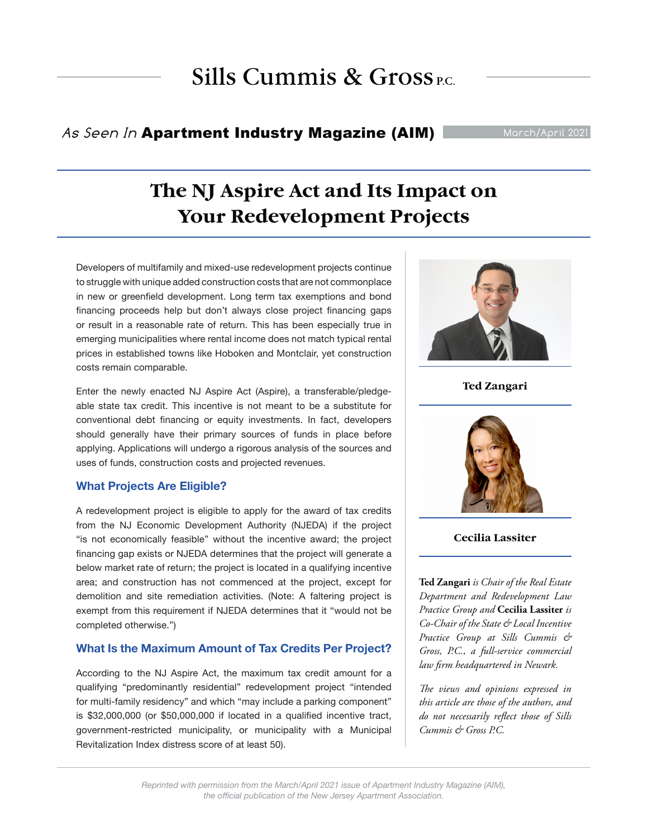# Sills Cummis &  $Gross_{PC}$

### As Seen In Apartment Industry Magazine (AIM)

## **The NJ Aspire Act and Its Impact on Your Redevelopment Projects**

Developers of multifamily and mixed-use redevelopment projects continue to struggle with unique added construction costs that are not commonplace in new or greenfield development. Long term tax exemptions and bond financing proceeds help but don't always close project financing gaps or result in a reasonable rate of return. This has been especially true in emerging municipalities where rental income does not match typical rental prices in established towns like Hoboken and Montclair, yet construction costs remain comparable.

Enter the newly enacted NJ Aspire Act (Aspire), a transferable/pledgeable state tax credit. This incentive is not meant to be a substitute for conventional debt financing or equity investments. In fact, developers should generally have their primary sources of funds in place before applying. Applications will undergo a rigorous analysis of the sources and uses of funds, construction costs and projected revenues.

#### **What Projects Are Eligible?**

A redevelopment project is eligible to apply for the award of tax credits from the NJ Economic Development Authority (NJEDA) if the project "is not economically feasible" without the incentive award; the project financing gap exists or NJEDA determines that the project will generate a below market rate of return; the project is located in a qualifying incentive area; and construction has not commenced at the project, except for demolition and site remediation activities. (Note: A faltering project is exempt from this requirement if NJEDA determines that it "would not be completed otherwise.")

#### **What Is the Maximum Amount of Tax Credits Per Project?**

According to the NJ Aspire Act, the maximum tax credit amount for a qualifying "predominantly residential" redevelopment project "intended for multi-family residency" and which "may include a parking component" is \$32,000,000 (or \$50,000,000 if located in a qualified incentive tract, government-restricted municipality, or municipality with a Municipal Revitalization Index distress score of at least 50).



**Ted Zangari**



#### **Cecilia Lassiter**

**Ted Zangari** *is Chair of the Real Estate Department and Redevelopment Law Practice Group and* **Cecilia Lassiter** *is Co-Chair of the State & Local Incentive Practice Group at Sills Cummis & Gross, P.C., a full-service commercial law firm headquartered in Newark.* 

*The views and opinions expressed in this article are those of the authors, and do not necessarily reflect those of Sills Cummis & Gross P.C.*